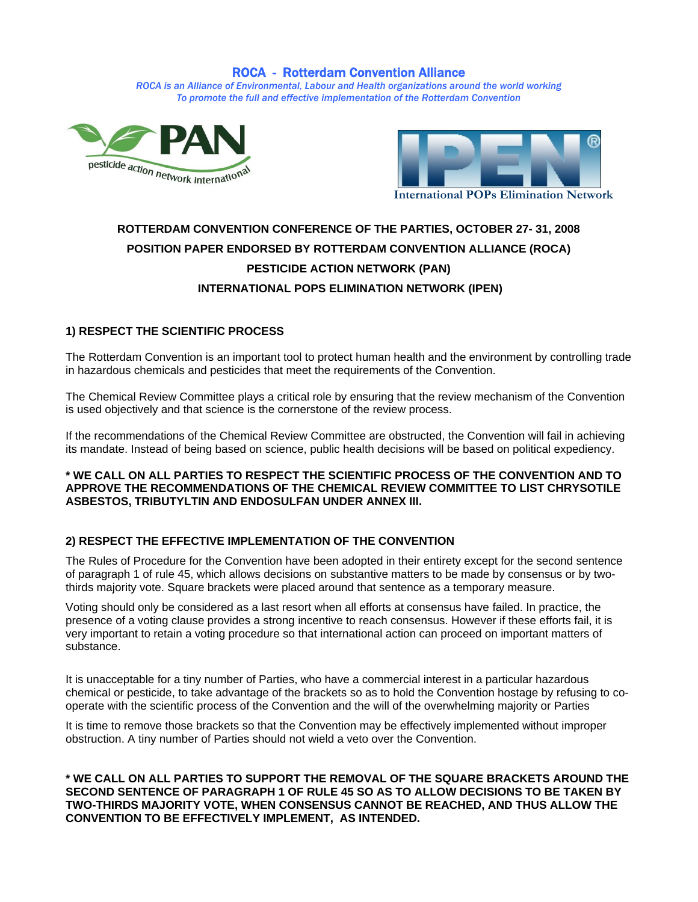# ROCA - Rotterdam Convention Alliance

*ROCA is an Alliance of Environmental, Labour and Health organizations around the world working To promote the full and effective implementation of the Rotterdam Convention*





# **ROTTERDAM CONVENTION CONFERENCE OF THE PARTIES, OCTOBER 27- 31, 2008 POSITION PAPER ENDORSED BY ROTTERDAM CONVENTION ALLIANCE (ROCA) PESTICIDE ACTION NETWORK (PAN) INTERNATIONAL POPS ELIMINATION NETWORK (IPEN)**

# **1) RESPECT THE SCIENTIFIC PROCESS**

The Rotterdam Convention is an important tool to protect human health and the environment by controlling trade in hazardous chemicals and pesticides that meet the requirements of the Convention.

The Chemical Review Committee plays a critical role by ensuring that the review mechanism of the Convention is used objectively and that science is the cornerstone of the review process.

If the recommendations of the Chemical Review Committee are obstructed, the Convention will fail in achieving its mandate. Instead of being based on science, public health decisions will be based on political expediency.

#### **\* WE CALL ON ALL PARTIES TO RESPECT THE SCIENTIFIC PROCESS OF THE CONVENTION AND TO APPROVE THE RECOMMENDATIONS OF THE CHEMICAL REVIEW COMMITTEE TO LIST CHRYSOTILE ASBESTOS, TRIBUTYLTIN AND ENDOSULFAN UNDER ANNEX III.**

# **2) RESPECT THE EFFECTIVE IMPLEMENTATION OF THE CONVENTION**

The Rules of Procedure for the Convention have been adopted in their entirety except for the second sentence of paragraph 1 of rule 45, which allows decisions on substantive matters to be made by consensus or by twothirds majority vote. Square brackets were placed around that sentence as a temporary measure.

Voting should only be considered as a last resort when all efforts at consensus have failed. In practice, the presence of a voting clause provides a strong incentive to reach consensus. However if these efforts fail, it is very important to retain a voting procedure so that international action can proceed on important matters of substance.

It is unacceptable for a tiny number of Parties, who have a commercial interest in a particular hazardous chemical or pesticide, to take advantage of the brackets so as to hold the Convention hostage by refusing to cooperate with the scientific process of the Convention and the will of the overwhelming majority or Parties

It is time to remove those brackets so that the Convention may be effectively implemented without improper obstruction. A tiny number of Parties should not wield a veto over the Convention.

**\* WE CALL ON ALL PARTIES TO SUPPORT THE REMOVAL OF THE SQUARE BRACKETS AROUND THE SECOND SENTENCE OF PARAGRAPH 1 OF RULE 45 SO AS TO ALLOW DECISIONS TO BE TAKEN BY TWO-THIRDS MAJORITY VOTE, WHEN CONSENSUS CANNOT BE REACHED, AND THUS ALLOW THE CONVENTION TO BE EFFECTIVELY IMPLEMENT, AS INTENDED.**